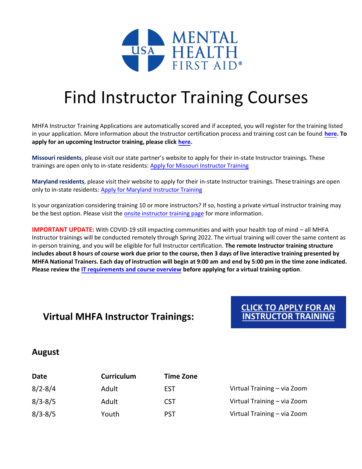

## Find Instructor Training Courses

MHFA Instructor Training Applications are automatically scored and if accepted, you will register for the training listed in your application. More information about the Instructor certification process and training cost can be found **[here.](https://www.mentalhealthfirstaid.org/become-an-instructor/certification-process/) To apply for an upcoming Instructor training, please click [here.](https://www.mentalhealthfirstaid.org/applying-for-instructor-training/)** 

**Missouri residents**, please visit our state partner's website to apply for their in-state Instructor trainings. These trainings are open only to in-state residents: [Apply for Missouri Instructor Training](http://mhfamissouri.org/)

**Maryland residents**, please visit their website to apply for their in-state Instructor trainings. These trainings are open only to in-state residents: [Apply for Maryland Instructor Training](https://www.mhamd.org/what-we-do/training/mental-health-first-aid-maryland/)

Is your organization considering training 10 or more instructors? If so, hosting a private virtual instructor training may be the best option. Please visit the [onsite instructor training page](https://www.mentalhealthfirstaid.org/onsite-instructor-training/) for more information.

**IMPORTANT UPDATE:** With COVID-19 still impacting communities and with your health top of mind – all MHFA Instructor trainings will be conducted remotely through Spring 2022. The virtual training will cover the same content as in-person training, and you will be eligible for full Instructor certification. **The remote Instructor training structure includes about 8 hours of course work due prior to the course, then 3 days of live interactive training presented by MHFA National Trainers. Each day of instruction will begin at 9:00 am and end by 5:00 pm in the time zone indicated. Please review the [IT requirements and course overview](https://www.mentalhealthfirstaid.org/become-an-instructor/certification-process/) before applying for a virtual training option**.

## **Virtual MHFA Instructor Trainings:**

**CLICK TO APPLY FOR AN [INSTRUCTOR TRAINING](https://www.mentalhealthfirstaid.org/applying-for-instructor-training/)**

## **August**

| Date        | <b>Curriculum</b> | <b>Time Zone</b> |                             |
|-------------|-------------------|------------------|-----------------------------|
| $8/2 - 8/4$ | Adult             | <b>EST</b>       | Virtual Training - via Zoom |
| $8/3 - 8/5$ | Adult             | <b>CST</b>       | Virtual Training - via Zoom |
| $8/3 - 8/5$ | Youth             | <b>PST</b>       | Virtual Training - via Zoom |